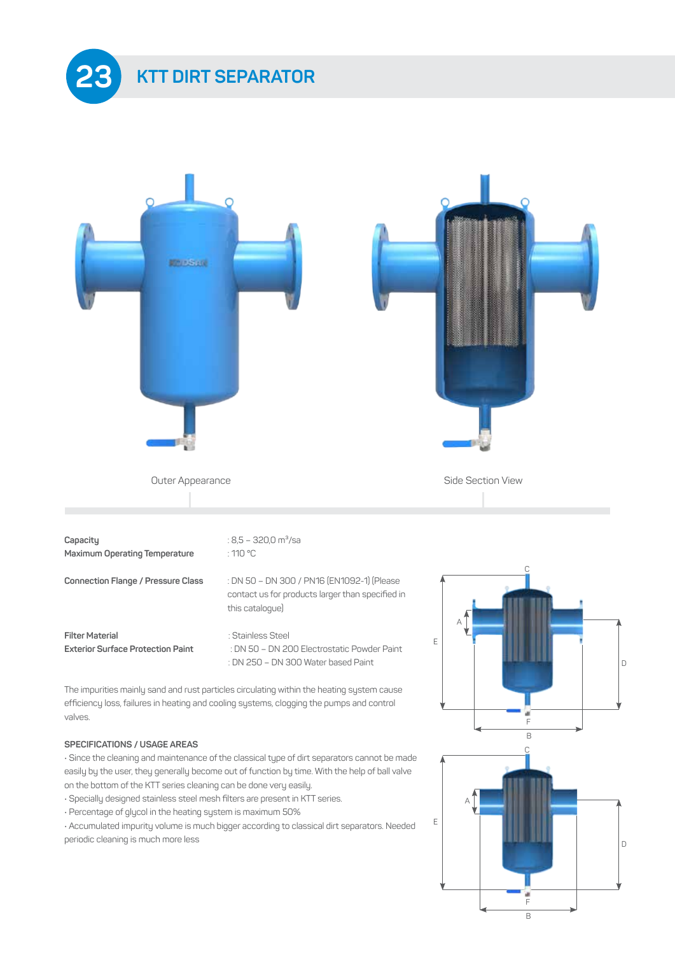



**Filter Material** : Stainless Steel

 contact us for products larger than specified in this catalogue)

**Exterior Surface Protection Paint** : DN 50 – DN 200 Electrostatic Powder Paint : DN 250 – DN 300 Water based Paint

The impurities mainly sand and rust particles circulating within the heating system cause efficiency loss, failures in heating and cooling systems, clogging the pumps and control valves.

## **SPECIFICATIONS / USAGE AREAS**

• Since the cleaning and maintenance of the classical type of dirt separators cannot be made easily by the user, they generally become out of function by time. With the help of ball valve on the bottom of the KTT series cleaning can be done very easily.

- Specially designed stainless steel mesh filters are present in KTT series.
- Percentage of glycol in the heating system is maximum 50%

• Accumulated impurity volume is much bigger according to classical dirt separators. Needed periodic cleaning is much more less